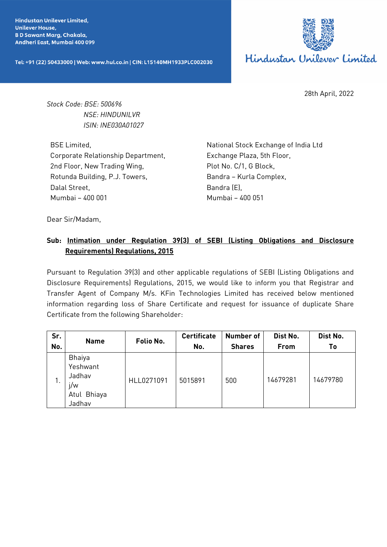**Hindustan Unilever Limited. Unilever House, BD Sawant Marg, Chakala,** Andheri East, Mumbai 400 099

Tel: +91 (22) 50433000 | Web: www.hul.co.in | CIN: L15140MH1933PLC002030



28th April, 2022

*Stock Code: BSE: 500696 NSE: HINDUNILVR ISIN: INE030A01027*

BSE Limited, Corporate Relationship Department, 2nd Floor, New Trading Wing, Rotunda Building, P.J. Towers, Dalal Street, Mumbai – 400 001

National Stock Exchange of India Ltd Exchange Plaza, 5th Floor, Plot No. C/1, G Block, Bandra – Kurla Complex, Bandra (E), Mumbai – 400 051

Dear Sir/Madam,

## **Sub: Intimation under Regulation 39(3) of SEBI (Listing Obligations and Disclosure Requirements) Regulations, 2015**

Pursuant to Regulation 39(3) and other applicable regulations of SEBI (Listing Obligations and Disclosure Requirements) Regulations, 2015, we would like to inform you that Registrar and Transfer Agent of Company M/s. KFin Technologies Limited has received below mentioned information regarding loss of Share Certificate and request for issuance of duplicate Share Certificate from the following Shareholder:

| Sr.<br>No. | <b>Name</b>                                                  | Folio No.  | <b>Certificate</b><br>No. | <b>Number of</b><br><b>Shares</b> | Dist No.<br>From | Dist No.<br>Τo |
|------------|--------------------------------------------------------------|------------|---------------------------|-----------------------------------|------------------|----------------|
| . .        | Bhaiya<br>Yeshwant<br>Jadhav<br>j/w<br>Atul Bhiaya<br>Jadhav | HLL0271091 | 5015891                   | 500                               | 14679281         | 14679780       |